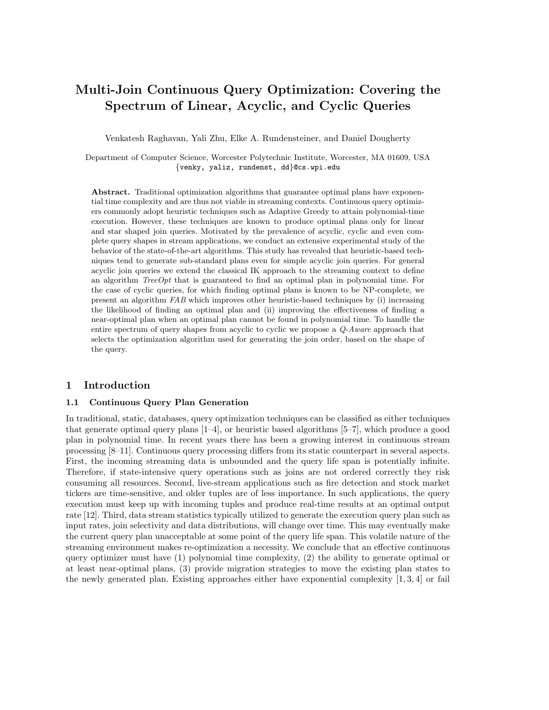# Multi-Join Continuous Query Optimization: Covering the Spectrum of Linear, Acyclic, and Cyclic Queries

Venkatesh Raghavan, Yali Zhu, Elke A. Rundensteiner, and Daniel Dougherty

Department of Computer Science, Worcester Polytechnic Institute, Worcester, MA 01609, USA {venky, yaliz, rundenst, dd}@cs.wpi.edu

Abstract. Traditional optimization algorithms that guarantee optimal plans have exponential time complexity and are thus not viable in streaming contexts. Continuous query optimizers commonly adopt heuristic techniques such as Adaptive Greedy to attain polynomial-time execution. However, these techniques are known to produce optimal plans only for linear and star shaped join queries. Motivated by the prevalence of acyclic, cyclic and even complete query shapes in stream applications, we conduct an extensive experimental study of the behavior of the state-of-the-art algorithms. This study has revealed that heuristic-based techniques tend to generate sub-standard plans even for simple acyclic join queries. For general acyclic join queries we extend the classical IK approach to the streaming context to define an algorithm  $TreeOpt$  that is guaranteed to find an optimal plan in polynomial time. For the case of cyclic queries, for which finding optimal plans is known to be NP-complete, we present an algorithm FAB which improves other heuristic-based techniques by (i) increasing the likelihood of finding an optimal plan and (ii) improving the effectiveness of finding a near-optimal plan when an optimal plan cannot be found in polynomial time. To handle the entire spectrum of query shapes from acyclic to cyclic we propose a  $Q$ -Aware approach that selects the optimization algorithm used for generating the join order, based on the shape of the query.

# 1 Introduction

## 1.1 Continuous Query Plan Generation

In traditional, static, databases, query optimization techniques can be classified as either techniques that generate optimal query plans [1–4], or heuristic based algorithms [5–7], which produce a good plan in polynomial time. In recent years there has been a growing interest in continuous stream processing [8–11]. Continuous query processing differs from its static counterpart in several aspects. First, the incoming streaming data is unbounded and the query life span is potentially infinite. Therefore, if state-intensive query operations such as joins are not ordered correctly they risk consuming all resources. Second, live-stream applications such as fire detection and stock market tickers are time-sensitive, and older tuples are of less importance. In such applications, the query execution must keep up with incoming tuples and produce real-time results at an optimal output rate [12]. Third, data stream statistics typically utilized to generate the execution query plan such as input rates, join selectivity and data distributions, will change over time. This may eventually make the current query plan unacceptable at some point of the query life span. This volatile nature of the streaming environment makes re-optimization a necessity. We conclude that an effective continuous query optimizer must have (1) polynomial time complexity, (2) the ability to generate optimal or at least near-optimal plans, (3) provide migration strategies to move the existing plan states to the newly generated plan. Existing approaches either have exponential complexity  $[1, 3, 4]$  or fail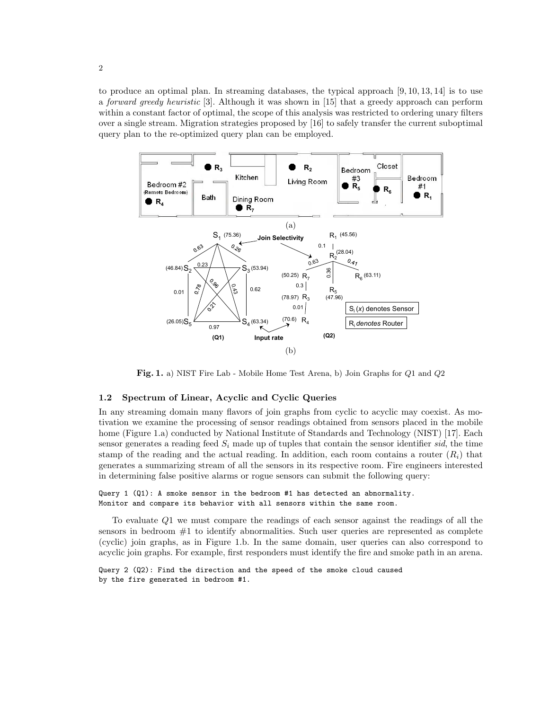to produce an optimal plan. In streaming databases, the typical approach [9, 10, 13, 14] is to use a forward greedy heuristic [3]. Although it was shown in [15] that a greedy approach can perform within a constant factor of optimal, the scope of this analysis was restricted to ordering unary filters over a single stream. Migration strategies proposed by [16] to safely transfer the current suboptimal query plan to the re-optimized query plan can be employed.



Fig. 1. a) NIST Fire Lab - Mobile Home Test Arena, b) Join Graphs for Q1 and Q2

# 1.2 Spectrum of Linear, Acyclic and Cyclic Queries

In any streaming domain many flavors of join graphs from cyclic to acyclic may coexist. As motivation we examine the processing of sensor readings obtained from sensors placed in the mobile home (Figure 1.a) conducted by National Institute of Standards and Technology (NIST) [17]. Each sensor generates a reading feed  $S_i$  made up of tuples that contain the sensor identifier sid, the time stamp of the reading and the actual reading. In addition, each room contains a router  $(R<sub>i</sub>)$  that generates a summarizing stream of all the sensors in its respective room. Fire engineers interested in determining false positive alarms or rogue sensors can submit the following query:

# Query 1 (Q1): A smoke sensor in the bedroom #1 has detected an abnormality. Monitor and compare its behavior with all sensors within the same room.

To evaluate Q1 we must compare the readings of each sensor against the readings of all the sensors in bedroom  $#1$  to identify abnormalities. Such user queries are represented as complete (cyclic) join graphs, as in Figure 1.b. In the same domain, user queries can also correspond to acyclic join graphs. For example, first responders must identify the fire and smoke path in an arena.

Query 2 (Q2): Find the direction and the speed of the smoke cloud caused by the fire generated in bedroom #1.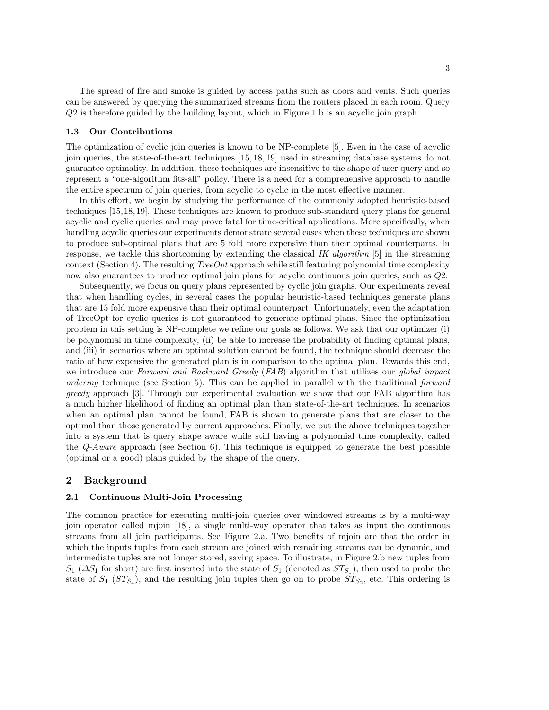The spread of fire and smoke is guided by access paths such as doors and vents. Such queries can be answered by querying the summarized streams from the routers placed in each room. Query Q2 is therefore guided by the building layout, which in Figure 1.b is an acyclic join graph.

# 1.3 Our Contributions

The optimization of cyclic join queries is known to be NP-complete [5]. Even in the case of acyclic join queries, the state-of-the-art techniques [15, 18, 19] used in streaming database systems do not guarantee optimality. In addition, these techniques are insensitive to the shape of user query and so represent a "one-algorithm fits-all" policy. There is a need for a comprehensive approach to handle the entire spectrum of join queries, from acyclic to cyclic in the most effective manner.

In this effort, we begin by studying the performance of the commonly adopted heuristic-based techniques [15,18,19]. These techniques are known to produce sub-standard query plans for general acyclic and cyclic queries and may prove fatal for time-critical applications. More specifically, when handling acyclic queries our experiments demonstrate several cases when these techniques are shown to produce sub-optimal plans that are 5 fold more expensive than their optimal counterparts. In response, we tackle this shortcoming by extending the classical IK algorithm [5] in the streaming context (Section 4). The resulting *Tree Opt* approach while still featuring polynomial time complexity now also guarantees to produce optimal join plans for acyclic continuous join queries, such as Q2.

Subsequently, we focus on query plans represented by cyclic join graphs. Our experiments reveal that when handling cycles, in several cases the popular heuristic-based techniques generate plans that are 15 fold more expensive than their optimal counterpart. Unfortunately, even the adaptation of TreeOpt for cyclic queries is not guaranteed to generate optimal plans. Since the optimization problem in this setting is NP-complete we refine our goals as follows. We ask that our optimizer (i) be polynomial in time complexity, (ii) be able to increase the probability of finding optimal plans, and (iii) in scenarios where an optimal solution cannot be found, the technique should decrease the ratio of how expensive the generated plan is in comparison to the optimal plan. Towards this end, we introduce our Forward and Backward Greedy (FAB) algorithm that utilizes our global impact ordering technique (see Section 5). This can be applied in parallel with the traditional forward greedy approach [3]. Through our experimental evaluation we show that our FAB algorithm has a much higher likelihood of finding an optimal plan than state-of-the-art techniques. In scenarios when an optimal plan cannot be found, FAB is shown to generate plans that are closer to the optimal than those generated by current approaches. Finally, we put the above techniques together into a system that is query shape aware while still having a polynomial time complexity, called the  $Q$ -Aware approach (see Section 6). This technique is equipped to generate the best possible (optimal or a good) plans guided by the shape of the query.

# 2 Background

## 2.1 Continuous Multi-Join Processing

The common practice for executing multi-join queries over windowed streams is by a multi-way join operator called mjoin [18], a single multi-way operator that takes as input the continuous streams from all join participants. See Figure 2.a. Two benefits of mjoin are that the order in which the inputs tuples from each stream are joined with remaining streams can be dynamic, and intermediate tuples are not longer stored, saving space. To illustrate, in Figure 2.b new tuples from  $S_1$  ( $\Delta S_1$  for short) are first inserted into the state of  $S_1$  (denoted as  $ST_{S_1}$ ), then used to probe the state of  $S_4$  ( $ST_{S_4}$ ), and the resulting join tuples then go on to probe  $ST_{S_2}$ , etc. This ordering is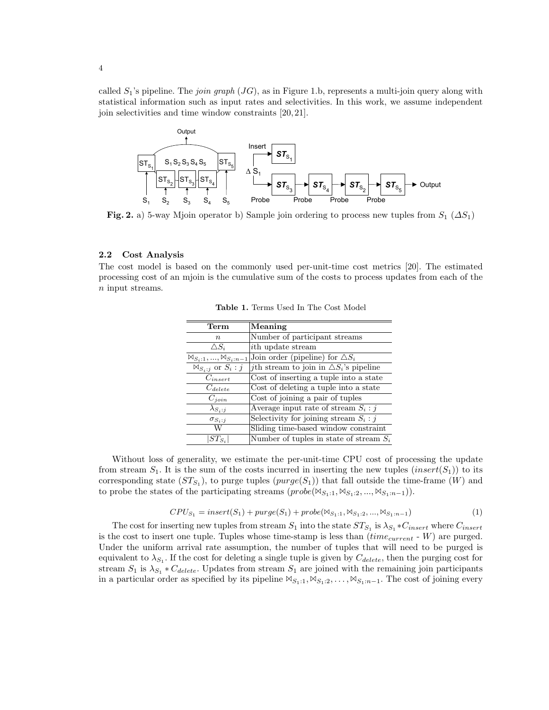called  $S_1$ 's pipeline. The *join graph*  $(JG)$ , as in Figure 1.b, represents a multi-join query along with statistical information such as input rates and selectivities. In this work, we assume independent join selectivities and time window constraints [20, 21].



Fig. 2. a) 5-way Mjoin operator b) Sample join ordering to process new tuples from  $S_1(\Delta S_1)$ 

## 2.2 Cost Analysis

The cost model is based on the commonly used per-unit-time cost metrics [20]. The estimated processing cost of an mjoin is the cumulative sum of the costs to process updates from each of the n input streams.

| Term                                       | Meaning                                                |
|--------------------------------------------|--------------------------------------------------------|
| $\, n$                                     | Number of participant streams                          |
| $\triangle S_i$                            | <i>i</i> th update stream                              |
| $\mathbb{M}_{S_i:1},,\mathbb{M}_{S_i:n-1}$ | Join order (pipeline) for $\triangle S_i$              |
| $\mathbb{M}_{S_i:j}$ or $S_i:j$            | <i>j</i> th stream to join in $\Delta S_i$ 's pipeline |
| $C_{insert}$                               | Cost of inserting a tuple into a state                 |
| $C_{delete}$                               | Cost of deleting a tuple into a state                  |
| $C_{join}$                                 | $\overline{\text{Cost}}$ of joining a pair of tuples   |
| $\lambda_{S_i:i}$                          | Average input rate of stream $S_i : j$                 |
| $\sigma_{S_i:i}$                           | Selectivity for joining stream $S_i : j$               |
| W                                          | Sliding time-based window constraint                   |
| $ST_{S_i}$                                 | Number of tuples in state of stream $S_i$              |

Table 1. Terms Used In The Cost Model

Without loss of generality, we estimate the per-unit-time CPU cost of processing the update from stream  $S_1$ . It is the sum of the costs incurred in inserting the new tuples  $(inset(S_1))$  to its corresponding state  $(ST_{S_1})$ , to purge tuples  $(purge(S_1))$  that fall outside the time-frame  $(W)$  and to probe the states of the participating streams  $(probe(\mathbb{M}_{S_1:1}, \mathbb{M}_{S_1:2}, ..., \mathbb{M}_{S_1:n-1}))$ .

$$
CPU_{S_1} = insert(S_1) + purge(S_1) + probe(\mathbb{N}_{S_1:1}, \mathbb{N}_{S_1:2}, ..., \mathbb{N}_{S_1:n-1})
$$
\n(1)

The cost for inserting new tuples from stream  $S_1$  into the state  $ST_{S_1}$  is  $\lambda_{S_1} * C_{insert}$  where  $C_{insert}$ is the cost to insert one tuple. Tuples whose time-stamp is less than  $(time_{current} - W)$  are purged. Under the uniform arrival rate assumption, the number of tuples that will need to be purged is equivalent to  $\lambda_{S_1}$ . If the cost for deleting a single tuple is given by  $C_{delete}$ , then the purging cost for stream  $S_1$  is  $\lambda_{S_1} * C_{delete}$ . Updates from stream  $S_1$  are joined with the remaining join participants in a particular order as specified by its pipeline  $\mathbb{W}_{S_1:1}, \mathbb{W}_{S_1:2}, \ldots, \mathbb{W}_{S_1: n-1}$ . The cost of joining every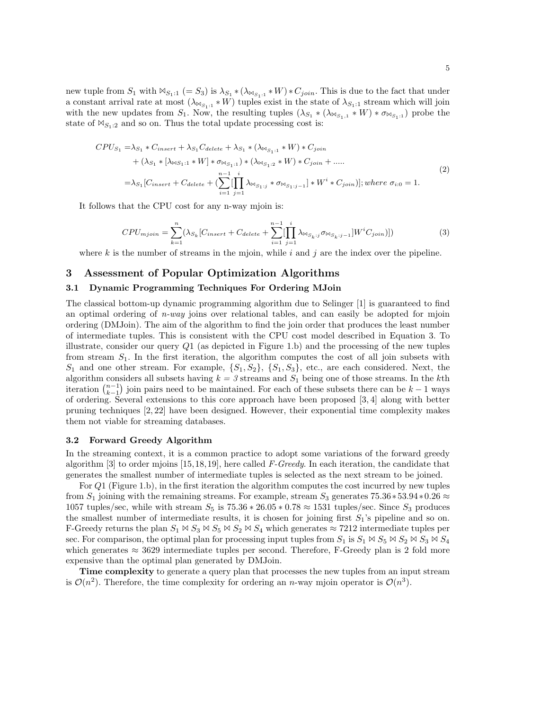new tuple from  $S_1$  with  $\mathbb{M}_{S_1:1} (= S_3)$  is  $\lambda_{S_1} * (\lambda_{\mathbb{M}_{S_1:1}} * W) * C_{join}$ . This is due to the fact that under a constant arrival rate at most  $(\lambda_{\bowtie_{S_1:1}} * W)$  tuples exist in the state of  $\lambda_{S_1:1}$  stream which will join with the new updates from  $S_1$ . Now, the resulting tuples  $(\lambda_{S_1} * (\lambda_{\mathbb{M}_{S_1,1}} * W) * \sigma_{\mathbb{M}_{S_1,1}})$  probe the state of  $\mathbb{M}_{S_1:2}$  and so on. Thus the total update processing cost is:

$$
CPU_{S_1} = \lambda_{S_1} * C_{insert} + \lambda_{S_1} C_{delete} + \lambda_{S_1} * (\lambda_{\bowtie_{S_1:1}} * W) * C_{join}
$$
  
+  $(\lambda_{S_1} * [\lambda_{\bowtie_{S_1:1}} * W] * \sigma_{\bowtie_{S_1:1}}) * (\lambda_{\bowtie_{S_1:2}} * W) * C_{join} + ....$   
=  $\lambda_{S_1} [C_{insert} + C_{delete} + (\sum_{i=1}^{n-1} [\prod_{j=1}^{i} \lambda_{\bowtie_{S_1:j}} * \sigma_{\bowtie_{S_1:j-1}}] * W^i * C_{join})]; where \sigma_{i:0} = 1.$  (2)

It follows that the CPU cost for any n-way mjoin is:

$$
CPU_{mjoin} = \sum_{k=1}^{n} (\lambda_{S_k} [C_{insert} + C_{delete} + \sum_{i=1}^{n-1} [\prod_{j=1}^{i} \lambda_{\bowtie_{S_k:j}} \sigma_{\bowtie_{S_k:j-1}}] W^{i} C_{join})])
$$
(3)

where k is the number of streams in the mjoin, while i and j are the index over the pipeline.

# 3 Assessment of Popular Optimization Algorithms

#### 3.1 Dynamic Programming Techniques For Ordering MJoin

The classical bottom-up dynamic programming algorithm due to Selinger [1] is guaranteed to find an optimal ordering of  $n$ -way joins over relational tables, and can easily be adopted for mjoin ordering (DMJoin). The aim of the algorithm to find the join order that produces the least number of intermediate tuples. This is consistent with the CPU cost model described in Equation 3. To illustrate, consider our query  $Q1$  (as depicted in Figure 1.b) and the processing of the new tuples from stream  $S_1$ . In the first iteration, the algorithm computes the cost of all join subsets with  $S_1$  and one other stream. For example,  $\{S_1, S_2\}$ ,  $\{S_1, S_3\}$ , etc., are each considered. Next, the algorithm considers all subsets having  $k = 3$  streams and  $S_1$  being one of those streams. In the kth iteration  $\binom{n-1}{k-1}$  join pairs need to be maintained. For each of these subsets there can be  $k-1$  ways of ordering. Several extensions to this core approach have been proposed [3, 4] along with better pruning techniques [2, 22] have been designed. However, their exponential time complexity makes them not viable for streaming databases.

## 3.2 Forward Greedy Algorithm

In the streaming context, it is a common practice to adopt some variations of the forward greedy algorithm [3] to order mjoins  $[15, 18, 19]$ , here called F-Greedy. In each iteration, the candidate that generates the smallest number of intermediate tuples is selected as the next stream to be joined.

For Q1 (Figure 1.b), in the first iteration the algorithm computes the cost incurred by new tuples from  $S_1$  joining with the remaining streams. For example, stream  $S_3$  generates 75.36∗53.94∗0.26 ≈ 1057 tuples/sec, while with stream  $S_5$  is  $75.36 * 26.05 * 0.78 \approx 1531$  tuples/sec. Since  $S_3$  produces the smallest number of intermediate results, it is chosen for joining first  $S_1$ 's pipeline and so on. F-Greedy returns the plan  $S_1 \bowtie S_3 \bowtie S_5 \bowtie S_2 \bowtie S_4$  which generates  $\approx 7212$  intermediate tuples per sec. For comparison, the optimal plan for processing input tuples from  $S_1$  is  $S_1 \bowtie S_5 \bowtie S_2 \bowtie S_3 \bowtie S_4$ which generates  $\approx 3629$  intermediate tuples per second. Therefore, F-Greedy plan is 2 fold more expensive than the optimal plan generated by DMJoin.

Time complexity to generate a query plan that processes the new tuples from an input stream is  $\mathcal{O}(n^2)$ . Therefore, the time complexity for ordering an *n*-way mjoin operator is  $\mathcal{O}(n^3)$ .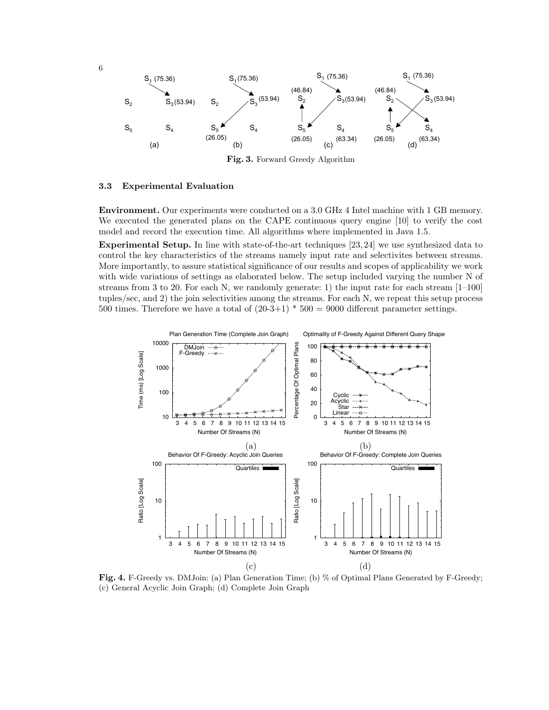

Fig. 3. Forward Greedy Algorithm

## 3.3 Experimental Evaluation

Environment. Our experiments were conducted on a 3.0 GHz 4 Intel machine with 1 GB memory. We executed the generated plans on the CAPE continuous query engine [10] to verify the cost model and record the execution time. All algorithms where implemented in Java 1.5.

Experimental Setup. In line with state-of-the-art techniques [23, 24] we use synthesized data to control the key characteristics of the streams namely input rate and selectivites between streams. More importantly, to assure statistical significance of our results and scopes of applicability we work with wide variations of settings as elaborated below. The setup included varying the number N of streams from 3 to 20. For each N, we randomly generate: 1) the input rate for each stream [1–100] tuples/sec, and 2) the join selectivities among the streams. For each N, we repeat this setup process 500 times. Therefore we have a total of  $(20-3+1) * 500 = 9000$  different parameter settings.



Fig. 4. F-Greedy vs. DMJoin: (a) Plan Generation Time; (b) % of Optimal Plans Generated by F-Greedy; (c) General Acyclic Join Graph; (d) Complete Join Graph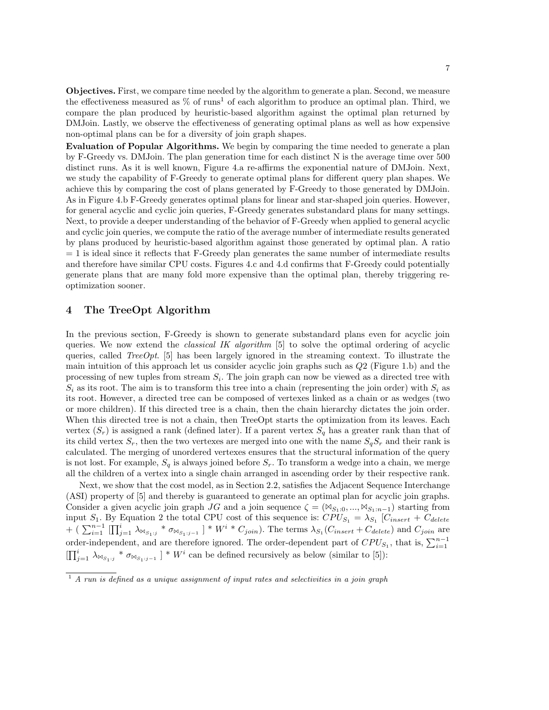Objectives. First, we compare time needed by the algorithm to generate a plan. Second, we measure the effectiveness measured as  $\%$  of runs<sup>1</sup> of each algorithm to produce an optimal plan. Third, we compare the plan produced by heuristic-based algorithm against the optimal plan returned by DMJoin. Lastly, we observe the effectiveness of generating optimal plans as well as how expensive non-optimal plans can be for a diversity of join graph shapes.

Evaluation of Popular Algorithms. We begin by comparing the time needed to generate a plan by F-Greedy vs. DMJoin. The plan generation time for each distinct N is the average time over 500 distinct runs. As it is well known, Figure 4.a re-affirms the exponential nature of DMJoin. Next, we study the capability of F-Greedy to generate optimal plans for different query plan shapes. We achieve this by comparing the cost of plans generated by F-Greedy to those generated by DMJoin. As in Figure 4.b F-Greedy generates optimal plans for linear and star-shaped join queries. However, for general acyclic and cyclic join queries, F-Greedy generates substandard plans for many settings. Next, to provide a deeper understanding of the behavior of F-Greedy when applied to general acyclic and cyclic join queries, we compute the ratio of the average number of intermediate results generated by plans produced by heuristic-based algorithm against those generated by optimal plan. A ratio  $= 1$  is ideal since it reflects that F-Greedy plan generates the same number of intermediate results and therefore have similar CPU costs. Figures 4.c and 4.d confirms that F-Greedy could potentially generate plans that are many fold more expensive than the optimal plan, thereby triggering reoptimization sooner.

# 4 The TreeOpt Algorithm

In the previous section, F-Greedy is shown to generate substandard plans even for acyclic join queries. We now extend the *classical IK algorithm*  $[5]$  to solve the optimal ordering of acyclic queries, called *TreeOpt*. [5] has been largely ignored in the streaming context. To illustrate the main intuition of this approach let us consider acyclic join graphs such as Q2 (Figure 1.b) and the processing of new tuples from stream  $S_i$ . The join graph can now be viewed as a directed tree with  $S_i$  as its root. The aim is to transform this tree into a chain (representing the join order) with  $S_i$  as its root. However, a directed tree can be composed of vertexes linked as a chain or as wedges (two or more children). If this directed tree is a chain, then the chain hierarchy dictates the join order. When this directed tree is not a chain, then TreeOpt starts the optimization from its leaves. Each vertex  $(S_r)$  is assigned a rank (defined later). If a parent vertex  $S_q$  has a greater rank than that of its child vertex  $S_r$ , then the two vertexes are merged into one with the name  $S_qS_r$  and their rank is calculated. The merging of unordered vertexes ensures that the structural information of the query is not lost. For example,  $S_q$  is always joined before  $S_r$ . To transform a wedge into a chain, we merge all the children of a vertex into a single chain arranged in ascending order by their respective rank.

Next, we show that the cost model, as in Section 2.2, satisfies the Adjacent Sequence Interchange (ASI) property of [5] and thereby is guaranteed to generate an optimal plan for acyclic join graphs. Consider a given acyclic join graph JG and a join sequence  $\zeta = (\mathbb{M}_{S_1:0}, ..., \mathbb{M}_{S_1:n-1})$  starting from input  $S_1$ . By Equation 2 the total CPU cost of this sequence is:  $CPU_{S_1} = \lambda_{S_1}$  [ $C_{insert} + C_{delete}$ + ( $\sum_{i=1}^{n-1} \prod_{j=1}^i \lambda_{\bowtie_{S_1:j}} * \sigma_{\bowtie_{S_1:j-1}}$ ) \*  $W^i * C_{join}$ ). The terms  $\lambda_{S_1}(C_{insert} + C_{delete})$  and  $C_{join}$  are order-independent, and are therefore ignored. The order-dependent part of  $CPU_{S_1}$ , that is,  $\sum_{i=1}^{n-1}$  $\left[\prod_{j=1}^i \lambda_{\bowtie_{S_1:j}} * \sigma_{\bowtie_{S_1:j-1}}\right] * W^i$  can be defined recursively as below (similar to [5]):

 $\overline{1}$  A run is defined as a unique assignment of input rates and selectivities in a join graph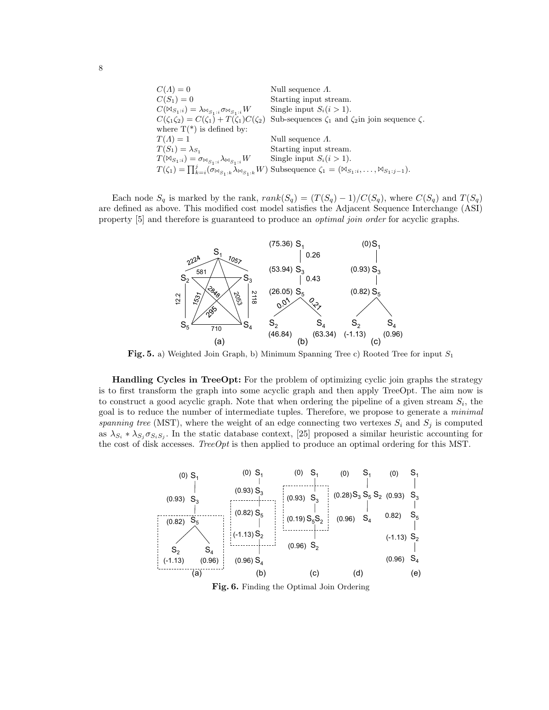| $C(\Lambda)=0$                                                                   | Null sequence $\Lambda$ .                                                                                                                                 |
|----------------------------------------------------------------------------------|-----------------------------------------------------------------------------------------------------------------------------------------------------------|
| $C(S_1) = 0$                                                                     | Starting input stream.                                                                                                                                    |
| $C(\boxtimes_{S_1:i})=\lambda_{\boxtimes_{S_1:i}}\sigma_{\boxtimes_{S_1:i}}W$    | Single input $S_i(i>1)$ .                                                                                                                                 |
|                                                                                  | $C(\zeta_1\zeta_2) = C(\zeta_1) + T(\zeta_1)C(\zeta_2)$ Sub-sequences $\zeta_1$ and $\zeta_2$ in join sequence $\zeta$ .                                  |
| where $T(*)$ is defined by:                                                      |                                                                                                                                                           |
| $T(A)=1$                                                                         | Null sequence $\Lambda$ .                                                                                                                                 |
| $T(S_1) = \lambda_{S_1}$                                                         | Starting input stream.                                                                                                                                    |
| $T(\mathbb{M}_{S_1:i})=\sigma_{\mathbb{M}_{S_1:i}}\lambda_{\mathbb{M}_{S_1:i}}W$ | Single input $S_i(i>1)$ .                                                                                                                                 |
|                                                                                  | $T(\zeta_1) = \prod_{k=i}^j (\sigma_{\bowtie_{S_1:k}} \lambda_{\bowtie_{S_1:k}} W)$ Subsequence $\zeta_1 = (\bowtie_{S_1:i}, \ldots, \bowtie_{S_1:j-1}).$ |

Each node  $S_q$  is marked by the rank,  $rank(S_q) = (T(S_q) - 1)/C(S_q)$ , where  $C(S_q)$  and  $T(S_q)$ are defined as above. This modified cost model satisfies the Adjacent Sequence Interchange (ASI) property [5] and therefore is guaranteed to produce an *optimal join order* for acyclic graphs.



Fig. 5. a) Weighted Join Graph, b) Minimum Spanning Tree c) Rooted Tree for input  $S_1$ 

Handling Cycles in TreeOpt: For the problem of optimizing cyclic join graphs the strategy is to first transform the graph into some acyclic graph and then apply TreeOpt. The aim now is to construct a good acyclic graph. Note that when ordering the pipeline of a given stream  $S_i$ , the goal is to reduce the number of intermediate tuples. Therefore, we propose to generate a *minimal* spanning tree (MST), where the weight of an edge connecting two vertexes  $S_i$  and  $S_j$  is computed as  $\lambda_{S_i} * \lambda_{S_j} \sigma_{S_i S_j}$ . In the static database context, [25] proposed a similar heuristic accounting for the cost of disk accesses. Tree  $Opt$  is then applied to produce an optimal ordering for this MST.



Fig. 6. Finding the Optimal Join Ordering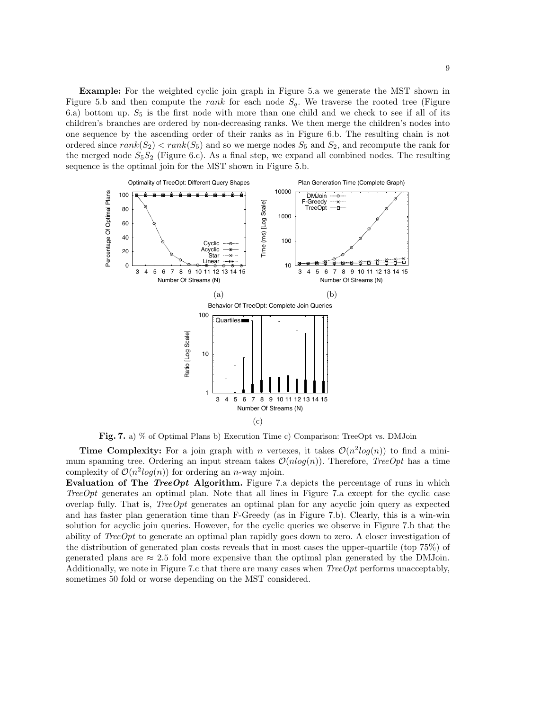Example: For the weighted cyclic join graph in Figure 5.a we generate the MST shown in Figure 5.b and then compute the rank for each node  $S_q$ . We traverse the rooted tree (Figure 6.a) bottom up.  $S_5$  is the first node with more than one child and we check to see if all of its children's branches are ordered by non-decreasing ranks. We then merge the children's nodes into one sequence by the ascending order of their ranks as in Figure 6.b. The resulting chain is not ordered since  $rank(S_2) < rank(S_5)$  and so we merge nodes  $S_5$  and  $S_2$ , and recompute the rank for the merged node  $S_5S_2$  (Figure 6.c). As a final step, we expand all combined nodes. The resulting sequence is the optimal join for the MST shown in Figure 5.b.



Fig. 7. a) % of Optimal Plans b) Execution Time c) Comparison: TreeOpt vs. DMJoin

**Time Complexity:** For a join graph with *n* vertexes, it takes  $\mathcal{O}(n^2 \log(n))$  to find a minimum spanning tree. Ordering an input stream takes  $\mathcal{O}(n \log(n))$ . Therefore, TreeOpt has a time complexity of  $\mathcal{O}(n^2 \log(n))$  for ordering an *n*-way mjoin.

Evaluation of The TreeOpt Algorithm. Figure 7.a depicts the percentage of runs in which TreeOpt generates an optimal plan. Note that all lines in Figure 7.a except for the cyclic case overlap fully. That is, TreeOpt generates an optimal plan for any acyclic join query as expected and has faster plan generation time than F-Greedy (as in Figure 7.b). Clearly, this is a win-win solution for acyclic join queries. However, for the cyclic queries we observe in Figure 7.b that the ability of  $TreeOpt$  to generate an optimal plan rapidly goes down to zero. A closer investigation of the distribution of generated plan costs reveals that in most cases the upper-quartile (top 75%) of generated plans are  $\approx 2.5$  fold more expensive than the optimal plan generated by the DMJoin. Additionally, we note in Figure 7.c that there are many cases when  $TreeOpt$  performs unacceptably, sometimes 50 fold or worse depending on the MST considered.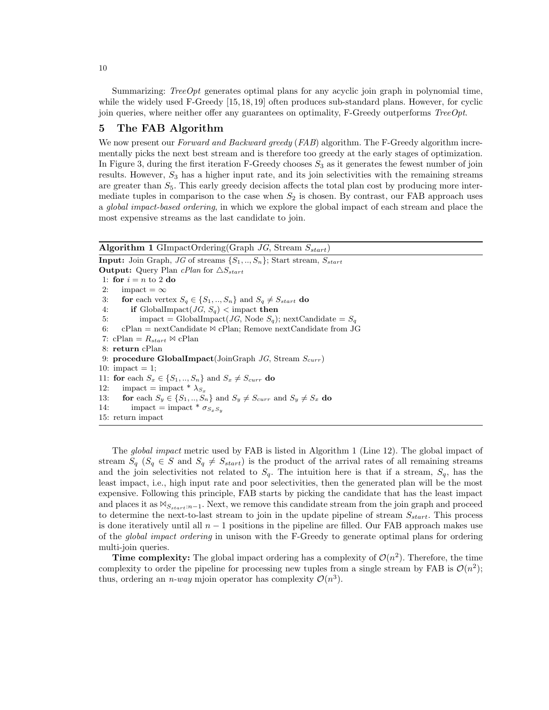Summarizing: *TreeOpt* generates optimal plans for any acyclic join graph in polynomial time, while the widely used F-Greedy [15, 18, 19] often produces sub-standard plans. However, for cyclic join queries, where neither offer any guarantees on optimality, F-Greedy outperforms  $TreeOpt$ .

# 5 The FAB Algorithm

We now present our *Forward and Backward greedy* (*FAB*) algorithm. The F-Greedy algorithm incrementally picks the next best stream and is therefore too greedy at the early stages of optimization. In Figure 3, during the first iteration F-Greedy chooses  $S_3$  as it generates the fewest number of join results. However,  $S_3$  has a higher input rate, and its join selectivities with the remaining streams are greater than  $S_5$ . This early greedy decision affects the total plan cost by producing more intermediate tuples in comparison to the case when  $S_2$  is chosen. By contrast, our FAB approach uses a *global impact-based ordering*, in which we explore the global impact of each stream and place the most expensive streams as the last candidate to join.

| <b>Algorithm 1</b> GImpactOrdering(Graph JG, Stream $S_{start}$ )                      |  |  |  |  |
|----------------------------------------------------------------------------------------|--|--|--|--|
| <b>Input:</b> Join Graph, JG of streams $\{S_1, , S_n\}$ ; Start stream, $S_{start}$   |  |  |  |  |
| <b>Output:</b> Query Plan <i>cPlan</i> for $\triangle S_{start}$                       |  |  |  |  |
| 1: for $i = n$ to 2 do                                                                 |  |  |  |  |
| 2:<br>impact $=\infty$                                                                 |  |  |  |  |
| for each vertex $S_q \in \{S_1, , S_n\}$ and $S_q \neq S_{start}$ do<br>3:             |  |  |  |  |
| <b>if</b> GlobalImpact( <i>JG</i> , $S_a$ ) < impact then<br>4:                        |  |  |  |  |
| impact = GlobalImpact( <i>JG</i> , Node $S_q$ ); nextCandidate = $S_q$<br>5:           |  |  |  |  |
| $cPlan$ = nextCandidate $\bowtie$ cPlan; Remove nextCandidate from JG<br>6:            |  |  |  |  |
| 7: cPlan = $R_{start} \bowtie cPlan$                                                   |  |  |  |  |
| 8: return cPlan                                                                        |  |  |  |  |
| 9: procedure GlobalImpact(JoinGraph JG, Stream $S_{curr}$ )                            |  |  |  |  |
| 10: impact $= 1$ ;                                                                     |  |  |  |  |
| 11: for each $S_x \in \{S_1, , S_n\}$ and $S_x \neq S_{curr}$ do                       |  |  |  |  |
| impact = impact * $\lambda_{S_x}$<br>12:                                               |  |  |  |  |
| for each $S_y \in \{S_1, , S_n\}$ and $S_y \neq S_{curr}$ and $S_y \neq S_x$ do<br>13: |  |  |  |  |
| impact = impact * $\sigma_{S_xS_y}$<br>14:                                             |  |  |  |  |
| 15: return impact                                                                      |  |  |  |  |

The global impact metric used by FAB is listed in Algorithm 1 (Line 12). The global impact of stream  $S_q$  ( $S_q \in S$  and  $S_q \neq S_{start}$ ) is the product of the arrival rates of all remaining streams and the join selectivities not related to  $S_q$ . The intuition here is that if a stream,  $S_q$ , has the least impact, i.e., high input rate and poor selectivities, then the generated plan will be the most expensive. Following this principle, FAB starts by picking the candidate that has the least impact and places it as  $\mathbb{N}_{S_{start}:n-1}$ . Next, we remove this candidate stream from the join graph and proceed to determine the next-to-last stream to join in the update pipeline of stream  $S_{start}$ . This process is done iteratively until all  $n-1$  positions in the pipeline are filled. Our FAB approach makes use of the *global impact ordering* in unison with the F-Greedy to generate optimal plans for ordering multi-join queries.

**Time complexity:** The global impact ordering has a complexity of  $\mathcal{O}(n^2)$ . Therefore, the time complexity to order the pipeline for processing new tuples from a single stream by FAB is  $\mathcal{O}(n^2)$ ; thus, ordering an *n*-way mjoin operator has complexity  $\mathcal{O}(n^3)$ .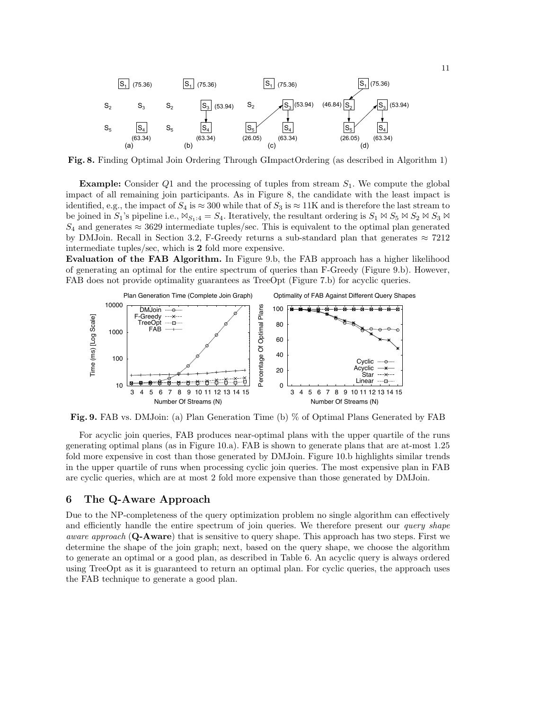

Fig. 8. Finding Optimal Join Ordering Through GImpactOrdering (as described in Algorithm 1)

**Example:** Consider Q1 and the processing of tuples from stream  $S_1$ . We compute the global impact of all remaining join participants. As in Figure 8, the candidate with the least impact is identified, e.g., the impact of  $S_4$  is  $\approx 300$  while that of  $S_3$  is  $\approx 11$ K and is therefore the last stream to be joined in  $S_1$ 's pipeline i.e.,  $\mathbb{N}_{S_1:4} = S_4$ . Iteratively, the resultant ordering is  $S_1 \bowtie S_5 \bowtie S_2 \bowtie S_3 \bowtie$  $S_4$  and generates  $\approx$  3629 intermediate tuples/sec. This is equivalent to the optimal plan generated by DMJoin. Recall in Section 3.2, F-Greedy returns a sub-standard plan that generates  $\approx 7212$ intermediate tuples/sec, which is 2 fold more expensive.

**Evaluation of the FAB Algorithm.** In Figure 9.b, the FAB approach has a higher likelihood of generating an optimal for the entire spectrum of queries than F-Greedy (Figure 9.b). However, FAB does not provide optimality guarantees as TreeOpt (Figure 7.b) for acyclic queries.



Fig. 9. FAB vs. DMJoin: (a) Plan Generation Time (b) % of Optimal Plans Generated by FAB

For acyclic join queries, FAB produces near-optimal plans with the upper quartile of the runs generating optimal plans (as in Figure 10.a). FAB is shown to generate plans that are at-most 1.25 fold more expensive in cost than those generated by DMJoin. Figure 10.b highlights similar trends in the upper quartile of runs when processing cyclic join queries. The most expensive plan in FAB are cyclic queries, which are at most 2 fold more expensive than those generated by DMJoin.

# 6 The Q-Aware Approach

Due to the NP-completeness of the query optimization problem no single algorithm can effectively and efficiently handle the entire spectrum of join queries. We therefore present our *query shape* aware approach (Q-Aware) that is sensitive to query shape. This approach has two steps. First we determine the shape of the join graph; next, based on the query shape, we choose the algorithm to generate an optimal or a good plan, as described in Table 6. An acyclic query is always ordered using TreeOpt as it is guaranteed to return an optimal plan. For cyclic queries, the approach uses the FAB technique to generate a good plan.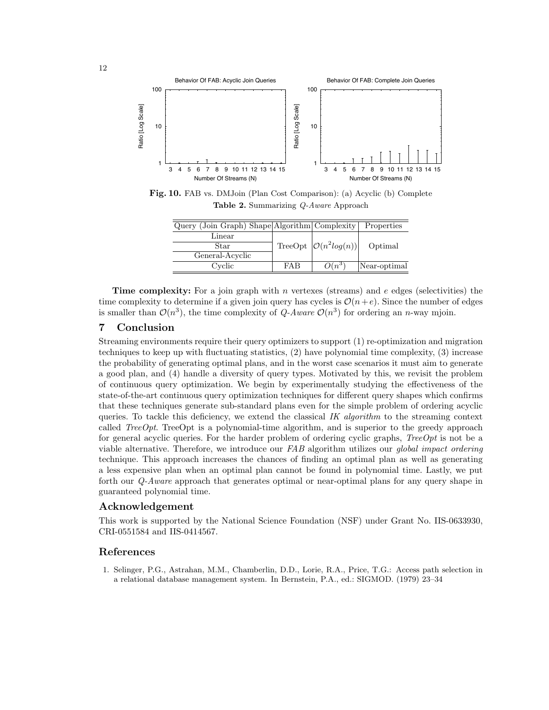

Fig. 10. FAB vs. DMJoin (Plan Cost Comparison): (a) Acyclic (b) Complete Table 2. Summarizing Q-Aware Approach

| Query (Join Graph) Shape Algorithm Complexity |            |                                                | Properties   |
|-----------------------------------------------|------------|------------------------------------------------|--------------|
| Linear                                        |            |                                                |              |
| Star                                          |            | TreeOpt $\left \mathcal{O}(n^2 log(n))\right $ | Optimal      |
| General-Acyclic                               |            |                                                |              |
| Cyclic                                        | <b>FAB</b> | $O(n^3)$                                       | Near-optimal |

**Time complexity:** For a join graph with n vertexes (streams) and  $e$  edges (selectivities) the time complexity to determine if a given join query has cycles is  $\mathcal{O}(n+e)$ . Since the number of edges is smaller than  $\mathcal{O}(n^3)$ , the time complexity of Q-Aware  $\mathcal{O}(n^3)$  for ordering an n-way mjoin.

# 7 Conclusion

Streaming environments require their query optimizers to support (1) re-optimization and migration techniques to keep up with fluctuating statistics, (2) have polynomial time complexity, (3) increase the probability of generating optimal plans, and in the worst case scenarios it must aim to generate a good plan, and (4) handle a diversity of query types. Motivated by this, we revisit the problem of continuous query optimization. We begin by experimentally studying the effectiveness of the state-of-the-art continuous query optimization techniques for different query shapes which confirms that these techniques generate sub-standard plans even for the simple problem of ordering acyclic queries. To tackle this deficiency, we extend the classical IK algorithm to the streaming context called TreeOpt. TreeOpt is a polynomial-time algorithm, and is superior to the greedy approach for general acyclic queries. For the harder problem of ordering cyclic graphs,  $TreeOpt$  is not be a viable alternative. Therefore, we introduce our FAB algorithm utilizes our *global impact ordering* technique. This approach increases the chances of finding an optimal plan as well as generating a less expensive plan when an optimal plan cannot be found in polynomial time. Lastly, we put forth our Q-Aware approach that generates optimal or near-optimal plans for any query shape in guaranteed polynomial time.

# Acknowledgement

This work is supported by the National Science Foundation (NSF) under Grant No. IIS-0633930, CRI-0551584 and IIS-0414567.

# References

1. Selinger, P.G., Astrahan, M.M., Chamberlin, D.D., Lorie, R.A., Price, T.G.: Access path selection in a relational database management system. In Bernstein, P.A., ed.: SIGMOD. (1979) 23–34